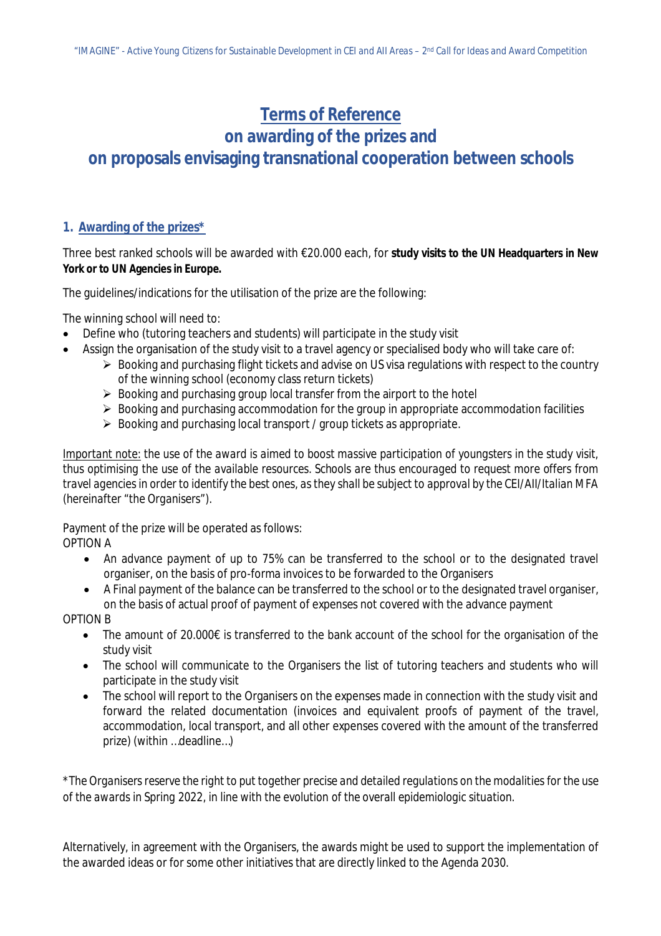## **Terms of Reference**

# **on awarding of the prizes and on proposals envisaging transnational cooperation between schools**

## **1. Awarding of the prizes\***

Three best ranked schools will be awarded with €20.000 each, for **study visits to the UN Headquarters in New York or to UN Agencies in Europe.**

The guidelines/indications for the utilisation of the prize are the following:

The winning school will need to:

- Define who (tutoring teachers and students) will participate in the study visit
- Assign the organisation of the study visit to a travel agency or specialised body who will take care of:
	- $\triangleright$  Booking and purchasing flight tickets and advise on US visa regulations with respect to the country of the winning school (economy class return tickets)
	- $\triangleright$  Booking and purchasing group local transfer from the airport to the hotel
	- $\triangleright$  Booking and purchasing accommodation for the group in appropriate accommodation facilities
	- $\triangleright$  Booking and purchasing local transport / group tickets as appropriate.

*Important note: the use of the award is aimed to boost massive participation of youngsters in the study visit, thus optimising the use of the available resources. Schools are thus encouraged to request more offers from travel agencies in order to identify the best ones, as they shall be subject to approval by the CEI/AII/Italian MFA (hereinafter "the Organisers").*

Payment of the prize will be operated as follows: OPTION A

- An advance payment of up to 75% can be transferred to the school or to the designated travel organiser, on the basis of pro-forma invoices to be forwarded to the Organisers
- A Final payment of the balance can be transferred to the school or to the designated travel organiser, on the basis of actual proof of payment of expenses not covered with the advance payment

OPTION B

- The amount of 20.000€ is transferred to the bank account of the school for the organisation of the study visit
- The school will communicate to the Organisers the list of tutoring teachers and students who will participate in the study visit
- The school will report to the Organisers on the expenses made in connection with the study visit and forward the related documentation (invoices and equivalent proofs of payment of the travel, accommodation, local transport, and all other expenses covered with the amount of the transferred prize) (within …deadline…)

*\*The Organisers reserve the right to put together precise and detailed regulations on the modalities for the use of the awards in Spring 2022, in line with the evolution of the overall epidemiologic situation.*

Alternatively, in agreement with the Organisers, the awards might be used to support the implementation of the awarded ideas or for some other initiatives that are directly linked to the Agenda 2030.